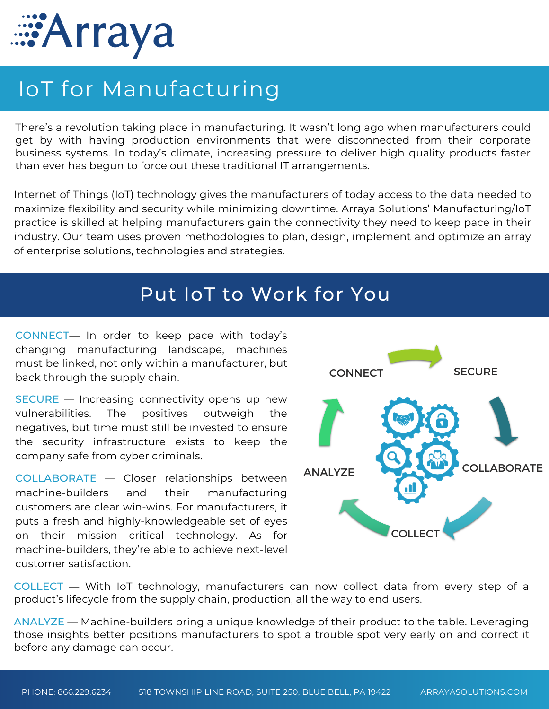

## IoT for Manufacturing

There's a revolution taking place in manufacturing. It wasn't long ago when manufacturers could get by with having production environments that were disconnected from their corporate business systems. In today's climate, increasing pressure to deliver high quality products faster than ever has begun to force out these traditional IT arrangements.

Internet of Things (IoT) technology gives the manufacturers of today access to the data needed to maximize flexibility and security while minimizing downtime. Arraya Solutions' Manufacturing/IoT practice is skilled at helping manufacturers gain the connectivity they need to keep pace in their industry. Our team uses proven methodologies to plan, design, implement and optimize an array of enterprise solutions, technologies and strategies.

## Put IoT to Work for You

CONNECT— In order to keep pace with today's changing manufacturing landscape, machines must be linked, not only within a manufacturer, but back through the supply chain.

SECURE — Increasing connectivity opens up new vulnerabilities. The positives outweigh the negatives, but time must still be invested to ensure the security infrastructure exists to keep the company safe from cyber criminals.

COLLABORATE — Closer relationships between machine-builders and their manufacturing customers are clear win-wins. For manufacturers, it puts a fresh and highly-knowledgeable set of eyes on their mission critical technology. As for machine-builders, they're able to achieve next-level customer satisfaction.



COLLECT — With IoT technology, manufacturers can now collect data from every step of a product's lifecycle from the supply chain, production, all the way to end users.

ANALYZE — Machine-builders bring a unique knowledge of their product to the table. Leveraging those insights better positions manufacturers to spot a trouble spot very early on and correct it before any damage can occur.